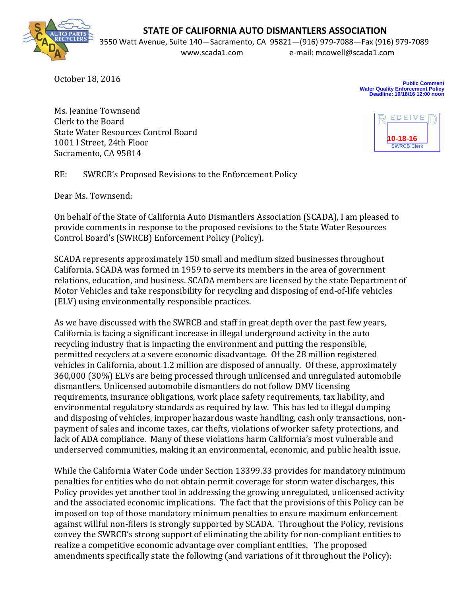## **STATE OF CALIFORNIA AUTO DISMANTLERS ASSOCIATION**



3550 Watt Avenue, Suite 140—Sacramento, CA 95821—(916) 979-7088—Fax (916) 979-7089 www.scada1.com e-mail: mcowell@scada1.com

October 18, 2016

**Public Comment Water Quality Enforcement Policy Deadline: 10/18/16 12:00 noon**

Ms. Jeanine Townsend Clerk to the Board State Water Resources Control Board 1001 I Street, 24th Floor Sacramento, CA 95814



RE: SWRCB's Proposed Revisions to the Enforcement Policy

Dear Ms. Townsend:

On behalf of the State of California Auto Dismantlers Association (SCADA), I am pleased to provide comments in response to the proposed revisions to the State Water Resources Control Board's (SWRCB) Enforcement Policy (Policy).

SCADA represents approximately 150 small and medium sized businesses throughout California. SCADA was formed in 1959 to serve its members in the area of government relations, education, and business. SCADA members are licensed by the state Department of Motor Vehicles and take responsibility for recycling and disposing of end-of-life vehicles (ELV) using environmentally responsible practices.

As we have discussed with the SWRCB and staff in great depth over the past few years, California is facing a significant increase in illegal underground activity in the auto recycling industry that is impacting the environment and putting the responsible, permitted recyclers at a severe economic disadvantage. Of the 28 million registered vehicles in California, about 1.2 million are disposed of annually. Of these, approximately 360,000 (30%) ELVs are being processed through unlicensed and unregulated automobile dismantlers. Unlicensed automobile dismantlers do not follow DMV licensing requirements, insurance obligations, work place safety requirements, tax liability, and environmental regulatory standards as required by law. This has led to illegal dumping and disposing of vehicles, improper hazardous waste handling, cash only transactions, nonpayment of sales and income taxes, car thefts, violations of worker safety protections, and lack of ADA compliance. Many of these violations harm California's most vulnerable and underserved communities, making it an environmental, economic, and public health issue.

While the California Water Code under Section 13399.33 provides for mandatory minimum penalties for entities who do not obtain permit coverage for storm water discharges, this Policy provides yet another tool in addressing the growing unregulated, unlicensed activity and the associated economic implications. The fact that the provisions of this Policy can be imposed on top of those mandatory minimum penalties to ensure maximum enforcement against willful non-filers is strongly supported by SCADA. Throughout the Policy, revisions convey the SWRCB's strong support of eliminating the ability for non-compliant entities to realize a competitive economic advantage over compliant entities. The proposed amendments specifically state the following (and variations of it throughout the Policy):